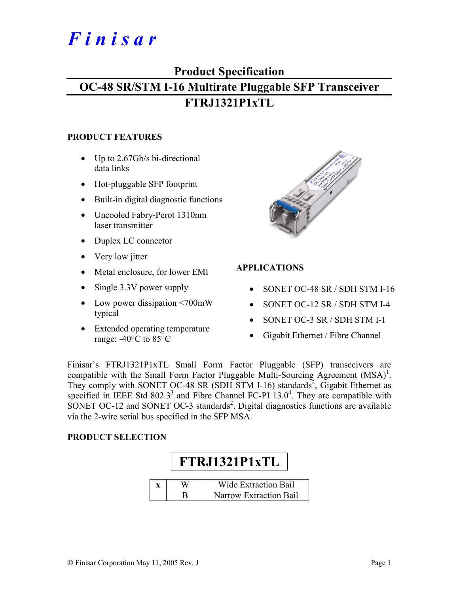# *F i n i s a r*

### **Product Specification**

# **OC-48 SR/STM I-16 Multirate Pluggable SFP Transceiver FTRJ1321P1xTL**

#### **PRODUCT FEATURES**

- Up to 2.67Gb/s bi-directional data links
- Hot-pluggable SFP footprint
- Built-in digital diagnostic functions
- Uncooled Fabry-Perot 1310nm laser transmitter
- Duplex LC connector
- Very low jitter
- Metal enclosure, for lower EMI
- Single 3.3V power supply
- Low power dissipation <700mW typical
- Extended operating temperature range: -40°C to 85°C



#### **APPLICATIONS**

- SONET OC-48 SR / SDH STM I-16
- SONET OC-12 SR / SDH STM I-4
- SONET OC-3 SR / SDH STM I-1
- Gigabit Ethernet / Fibre Channel

Finisar's FTRJ1321P1xTL Small Form Factor Pluggable (SFP) transceivers are compatible with the Small Form Factor Pluggable Multi-Sourcing Agreement  $(MSA)^1$ . They comply with SONET OC-48 SR (SDH STM I-16) standards<sup>2</sup>, Gigabit Ethernet as specified in IEEE Std  $802.3^3$  and Fibre Channel FC-PI 13.0<sup>4</sup>. They are compatible with SONET OC-12 and SONET OC-3 standards<sup>2</sup>. Digital diagnostics functions are available via the 2-wire serial bus specified in the SFP MSA.

#### **PRODUCT SELECTION**

# **FTRJ1321P1xTL**

|  | <b>Wide Extraction Bail</b> |
|--|-----------------------------|
|  | Narrow Extraction Bail      |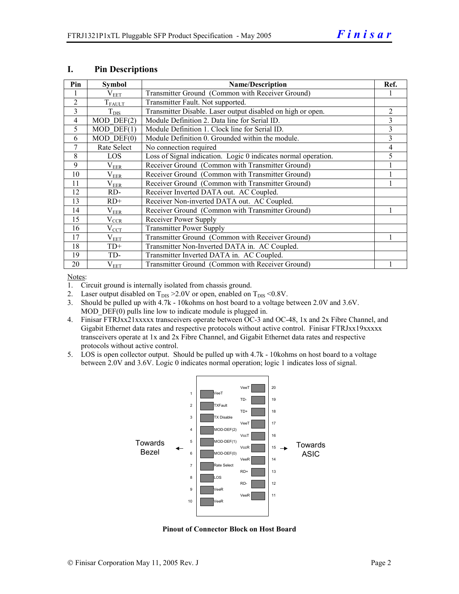| Pin            | <b>Symbol</b>           | <b>Name/Description</b>                                        |   |  |  |
|----------------|-------------------------|----------------------------------------------------------------|---|--|--|
|                | $\rm V_{EET}$           | Transmitter Ground (Common with Receiver Ground)               |   |  |  |
| $\overline{2}$ | $T_{FAULT}$             | Transmitter Fault. Not supported.                              |   |  |  |
| 3              | $T_{\text{DIS}}$        | Transmitter Disable. Laser output disabled on high or open.    | 2 |  |  |
| 4              | $MOD$ DEF $(2)$         | Module Definition 2. Data line for Serial ID.                  | 3 |  |  |
| 5              | $\overline{MOD}$ DEF(1) | Module Definition 1. Clock line for Serial ID.                 | 3 |  |  |
| 6              | $MOD$ $DEF(0)$          | Module Definition 0. Grounded within the module.               | 3 |  |  |
| $\overline{7}$ | Rate Select             | No connection required                                         | 4 |  |  |
| 8              | LOS                     | Loss of Signal indication. Logic 0 indicates normal operation. | 5 |  |  |
| 9              | $\rm V_{EER}$           | Receiver Ground (Common with Transmitter Ground)               |   |  |  |
| 10             | $\rm V_{EER}$           | Receiver Ground (Common with Transmitter Ground)               |   |  |  |
| 11             | $\rm V_{EER}$           | Receiver Ground (Common with Transmitter Ground)               |   |  |  |
| 12             | RD-                     | Receiver Inverted DATA out. AC Coupled.                        |   |  |  |
| 13             | $RD+$                   | Receiver Non-inverted DATA out. AC Coupled.                    |   |  |  |
| 14             | $\rm V_{EER}$           | Receiver Ground (Common with Transmitter Ground)               |   |  |  |
| 15             | $V_{CCR}$               | Receiver Power Supply                                          |   |  |  |
| 16             | $V_{CCT}$               | <b>Transmitter Power Supply</b>                                |   |  |  |
| 17             | $V_{EET}$               | Transmitter Ground (Common with Receiver Ground)               |   |  |  |
| 18             | $TD+$                   | Transmitter Non-Inverted DATA in. AC Coupled.                  |   |  |  |
| 19             | TD-                     | Transmitter Inverted DATA in. AC Coupled.                      |   |  |  |
| 20             | $V_{EET}$               | Transmitter Ground (Common with Receiver Ground)               |   |  |  |

#### **I. Pin Descriptions**

Notes:

1. Circuit ground is internally isolated from chassis ground.

- 2. Laser output disabled on  $T_{\text{DIS}} > 2.0V$  or open, enabled on  $T_{\text{DIS}} < 0.8V$ .
- 3. Should be pulled up with 4.7k 10kohms on host board to a voltage between 2.0V and 3.6V. MOD  $DEF(0)$  pulls line low to indicate module is plugged in.
- 4. Finisar FTRJxx21xxxxx transceivers operate between OC-3 and OC-48, 1x and 2x Fibre Channel, and Gigabit Ethernet data rates and respective protocols without active control. Finisar FTRJxx19xxxxx transceivers operate at 1x and 2x Fibre Channel, and Gigabit Ethernet data rates and respective protocols without active control.
- 5. LOS is open collector output. Should be pulled up with 4.7k 10kohms on host board to a voltage between 2.0V and 3.6V. Logic 0 indicates normal operation; logic 1 indicates loss of signal.



**Pinout of Connector Block on Host Board**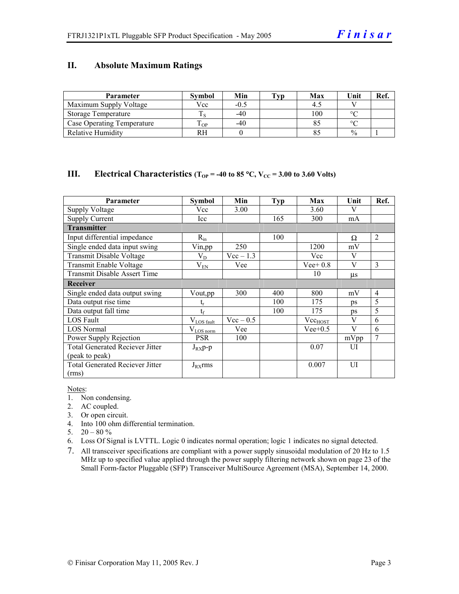#### **II. Absolute Maximum Ratings**

| <b>Parameter</b>                  | <b>Symbol</b> | Min    | Tvp | Max | Unit          | Ref. |
|-----------------------------------|---------------|--------|-----|-----|---------------|------|
| Maximum Supply Voltage            | Vcc           | $-0.5$ |     |     |               |      |
| Storage Temperature               |               | $-40$  |     | 100 | $\circ$       |      |
| <b>Case Operating Temperature</b> | m<br>OP.      | $-40$  |     |     | $\sim$        |      |
| <b>Relative Humidity</b>          | RH            |        |     |     | $\frac{0}{0}$ |      |

#### **III.** Electrical Characteristics ( $T_{OP}$  = -40 to 85 °C,  $V_{CC}$  = 3.00 to 3.60 Volts)

| Parameter                              | Symbol                 | Min         | Typ | Max          | Unit    | Ref.           |
|----------------------------------------|------------------------|-------------|-----|--------------|---------|----------------|
| <b>Supply Voltage</b>                  | Vcc                    | 3.00        |     | 3.60         | V       |                |
| <b>Supply Current</b>                  | Icc                    |             | 165 | 300          | mA      |                |
| <b>Transmitter</b>                     |                        |             |     |              |         |                |
| Input differential impedance           | $R_{in}$               |             | 100 |              | Ω       | $\overline{2}$ |
| Single ended data input swing          | Vin,pp                 | 250         |     | 1200         | mV      |                |
| <b>Transmit Disable Voltage</b>        | $V_D$                  | $Vec-1.3$   |     | Vcc          | V       |                |
| Transmit Enable Voltage                | $V_{EN}$               | Vee         |     | $Vee+0.8$    | V       | 3              |
| <b>Transmit Disable Assert Time</b>    |                        |             |     | 10           | $\mu s$ |                |
| Receiver                               |                        |             |     |              |         |                |
| Single ended data output swing         | Vout,pp                | 300         | 400 | 800          | mV      | $\overline{4}$ |
| Data output rise time                  | $t_{r}$                |             | 100 | 175          | ps      | 5              |
| Data output fall time                  | $t_{\rm f}$            |             | 100 | 175          | ps      | 5              |
| <b>LOS Fault</b>                       | $V_{\text{LOS fault}}$ | $Vec - 0.5$ |     | $Vec_{HOST}$ | V       | 6              |
| <b>LOS Normal</b>                      | $V_{\text{LOS norm}}$  | Vee         |     | $Vee+0.5$    | V       | 6              |
| Power Supply Rejection                 | <b>PSR</b>             | 100         |     |              | mVpp    | 7              |
| <b>Total Generated Reciever Jitter</b> | $J_{RX}p-p$            |             |     | 0.07         | UI      |                |
| (peak to peak)                         |                        |             |     |              |         |                |
| <b>Total Generated Reciever Jitter</b> | $J_{RX}$ rms           |             |     | 0.007        | UI      |                |
| (rms)                                  |                        |             |     |              |         |                |

Notes:

- 1. Non condensing.
- 2. AC coupled.
- 3. Or open circuit.
- 4. Into 100 ohm differential termination.
- 5.  $20 80 \%$
- 6. Loss Of Signal is LVTTL. Logic 0 indicates normal operation; logic 1 indicates no signal detected.
- 7. All transceiver specifications are compliant with a power supply sinusoidal modulation of 20 Hz to 1.5 MHz up to specified value applied through the power supply filtering network shown on page 23 of the Small Form-factor Pluggable (SFP) Transceiver MultiSource Agreement (MSA), September 14, 2000.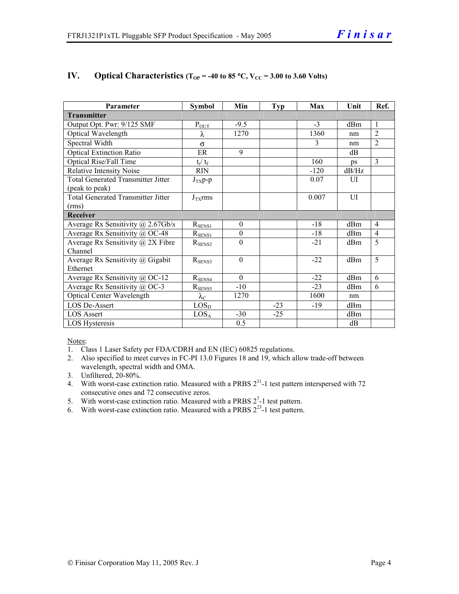| Parameter                                    | <b>Symbol</b>          | Min              | <b>Typ</b> | Max    | Unit  | Ref.           |
|----------------------------------------------|------------------------|------------------|------------|--------|-------|----------------|
| <b>Transmitter</b>                           |                        |                  |            |        |       |                |
| Output Opt. Pwr: 9/125 SMF                   | $P_{OUT}$              | $-9.5$           |            | $-3$   | dBm   | 1              |
| Optical Wavelength                           | λ                      | 1270             |            | 1360   | nm    | $\overline{2}$ |
| Spectral Width                               | $\sigma$               |                  |            | 3      | nm    | $\overline{2}$ |
| <b>Optical Extinction Ratio</b>              | ER                     | 9                |            |        | dB    |                |
| <b>Optical Rise/Fall Time</b>                | $t_r / t_f$            |                  |            | 160    | ps    | 3              |
| <b>Relative Intensity Noise</b>              | <b>RIN</b>             |                  |            | $-120$ | dB/Hz |                |
| <b>Total Generated Transmitter Jitter</b>    | $J_{TX}p-p$            |                  |            | 0.07   | UI    |                |
| (peak to peak)                               |                        |                  |            |        |       |                |
| <b>Total Generated Transmitter Jitter</b>    | $J_{TX}$ rms           |                  |            | 0.007  | UI    |                |
| (rms)                                        |                        |                  |            |        |       |                |
| Receiver                                     |                        |                  |            |        |       |                |
| Average Rx Sensitivity $(a)$ 2.67Gb/s        | $R_{\rm SENS1}$        | $\mathbf{0}$     |            | $-18$  | dBm   | 4              |
| Average Rx Sensitivity @ OC-48               | $R_{SENS1}$            | $\boldsymbol{0}$ |            | $-18$  | dBm   | $\overline{4}$ |
| Average Rx Sensitivity $\omega$ 2X Fibre     | $R_{\text{SENS2}}$     | $\theta$         |            | $-21$  | dBm   | 5              |
| Channel                                      |                        |                  |            |        |       |                |
| Average Rx Sensitivity @ Gigabit             | $R_{SENS3}$            | $\Omega$         |            | $-22$  | dBm   | 5              |
| Ethernet                                     |                        |                  |            |        |       |                |
| Average Rx Sensitivity @ OC-12               | $R_{SENS4}$            | $\Omega$         |            | $-22$  | dBm   | 6              |
| Average Rx Sensitivity $\overline{a}$ , OC-3 | $R_{SENS5}$            | $-10$            |            | $-23$  | dBm   | 6              |
| <b>Optical Center Wavelength</b>             | $\lambda_{\mathrm{C}}$ | 1270             |            | 1600   | nm    |                |
| LOS De-Assert                                | LOS <sub>D</sub>       |                  | $-23$      | $-19$  | dBm   |                |
| <b>LOS Assert</b>                            | $LOS_A$                | $-30$            | $-25$      |        | dBm   |                |
| LOS Hysteresis                               |                        | 0.5              |            |        | dB    |                |

#### **IV.** Optical Characteristics ( $T_{OP}$  = -40 to 85 °C,  $V_{CC}$  = 3.00 to 3.60 Volts)

Notes:

- 1. Class 1 Laser Safety per FDA/CDRH and EN (IEC) 60825 regulations.
- 2. Also specified to meet curves in FC-PI 13.0 Figures 18 and 19, which allow trade-off between wavelength, spectral width and OMA.
- 3. Unfiltered, 20-80%.
- 4. With worst-case extinction ratio. Measured with a PRBS  $2^{31}$ -1 test pattern interspersed with 72 consecutive ones and 72 consecutive zeros.
- 5. With worst-case extinction ratio. Measured with a PRBS  $2^7$ -1 test pattern.
- 6. With worst-case extinction ratio. Measured with a PRBS  $2^{23}$ -1 test pattern.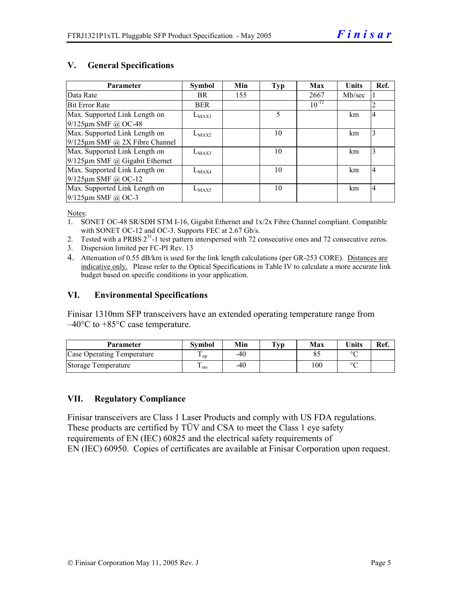#### **V. General Specifications**

| <b>Parameter</b>                     | <b>Symbol</b> | Min | <b>Typ</b> | Max        | <b>Units</b> | Ref.           |
|--------------------------------------|---------------|-----|------------|------------|--------------|----------------|
| Data Rate                            | BR.           | 155 |            | 2667       | Mb/sec       |                |
| <b>Bit Error Rate</b>                | <b>BER</b>    |     |            | $10^{-12}$ |              | 2              |
| Max. Supported Link Length on        | $L_{MAX1}$    |     | 5          |            | km           | $\overline{4}$ |
| $9/125$ µm SMF @ OC-48               |               |     |            |            |              |                |
| Max. Supported Link Length on        | $L_{MAX2}$    |     | 10         |            | km           | 3              |
| $9/125 \mu m$ SMF @ 2X Fibre Channel |               |     |            |            |              |                |
| Max. Supported Link Length on        | $L_{MAX3}$    |     | 10         |            | km           | 3              |
| $9/125 \mu m$ SMF @ Gigabit Ethernet |               |     |            |            |              |                |
| Max. Supported Link Length on        | $L_{MAX4}$    |     | 10         |            | km           | $\overline{4}$ |
| $9/125 \mu m$ SMF @ OC-12            |               |     |            |            |              |                |
| Max. Supported Link Length on        | $L_{MAX5}$    |     | 10         |            | km           | $\overline{4}$ |
| $9/125$ µm SMF @ OC-3                |               |     |            |            |              |                |

Notes:

- 1. SONET OC-48 SR/SDH STM I-16, Gigabit Ethernet and 1x/2x Fibre Channel compliant. Compatible with SONET OC-12 and OC-3. Supports FEC at 2.67 Gb/s.
- 2. Tested with a PRBS  $2^{31}$ -1 test pattern interspersed with 72 consecutive ones and 72 consecutive zeros.
- 3. Dispersion limited per FC-PI Rev. 13
- 4. Attenuation of 0.55 dB/km is used for the link length calculations (per GR-253 CORE). Distances are indicative only. Please refer to the Optical Specifications in Table IV to calculate a more accurate link budget based on specific conditions in your application.

#### **VI. Environmental Specifications**

Finisar 1310nm SFP transceivers have an extended operating temperature range from  $-40^{\circ}$ C to  $+85^{\circ}$ C case temperature.

| Parameter                  | Svmbol          | Min | $\mathbf{T}_{\mathbf{V}\mathbf{p}}$ | Max | $\mathbf{v}_{\text{hits}}$ | Ref. |
|----------------------------|-----------------|-----|-------------------------------------|-----|----------------------------|------|
| Case Operating Temperature | <sup>L</sup> OD | -40 |                                     |     | $\sim$                     |      |
| Storage Temperature        | ᠇<br>⊥ sto      | -40 |                                     | 100 | $\sim$                     |      |

#### **VII. Regulatory Compliance**

Finisar transceivers are Class 1 Laser Products and comply with US FDA regulations. These products are certified by TÜV and CSA to meet the Class 1 eye safety requirements of EN (IEC) 60825 and the electrical safety requirements of EN (IEC) 60950. Copies of certificates are available at Finisar Corporation upon request.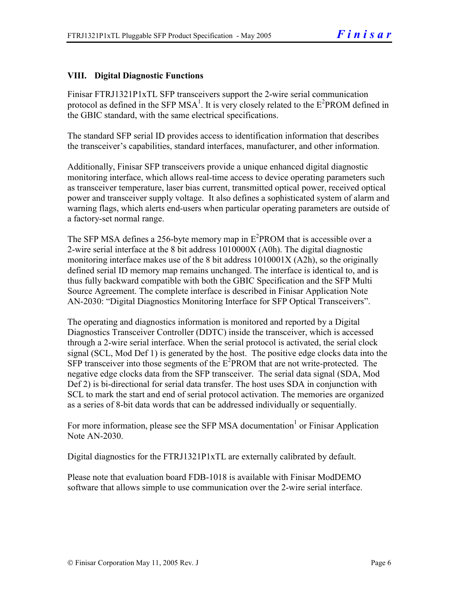#### **VIII. Digital Diagnostic Functions**

Finisar FTRJ1321P1xTL SFP transceivers support the 2-wire serial communication protocol as defined in the SFP MSA<sup>1</sup>. It is very closely related to the  $E^2$ PROM defined in the GBIC standard, with the same electrical specifications.

The standard SFP serial ID provides access to identification information that describes the transceiver's capabilities, standard interfaces, manufacturer, and other information.

Additionally, Finisar SFP transceivers provide a unique enhanced digital diagnostic monitoring interface, which allows real-time access to device operating parameters such as transceiver temperature, laser bias current, transmitted optical power, received optical power and transceiver supply voltage. It also defines a sophisticated system of alarm and warning flags, which alerts end-users when particular operating parameters are outside of a factory-set normal range.

The SFP MSA defines a 256-byte memory map in  $E^2$ PROM that is accessible over a 2-wire serial interface at the 8 bit address 1010000X (A0h). The digital diagnostic monitoring interface makes use of the 8 bit address 1010001X (A2h), so the originally defined serial ID memory map remains unchanged. The interface is identical to, and is thus fully backward compatible with both the GBIC Specification and the SFP Multi Source Agreement. The complete interface is described in Finisar Application Note AN-2030: "Digital Diagnostics Monitoring Interface for SFP Optical Transceivers".

The operating and diagnostics information is monitored and reported by a Digital Diagnostics Transceiver Controller (DDTC) inside the transceiver, which is accessed through a 2-wire serial interface. When the serial protocol is activated, the serial clock signal (SCL, Mod Def 1) is generated by the host. The positive edge clocks data into the  $SFP$  transceiver into those segments of the  $E^2$ PROM that are not write-protected. The negative edge clocks data from the SFP transceiver. The serial data signal (SDA, Mod Def 2) is bi-directional for serial data transfer. The host uses SDA in conjunction with SCL to mark the start and end of serial protocol activation. The memories are organized as a series of 8-bit data words that can be addressed individually or sequentially.

For more information, please see the SFP MSA documentation<sup>1</sup> or Finisar Application Note AN-2030.

Digital diagnostics for the FTRJ1321P1xTL are externally calibrated by default.

Please note that evaluation board FDB-1018 is available with Finisar ModDEMO software that allows simple to use communication over the 2-wire serial interface.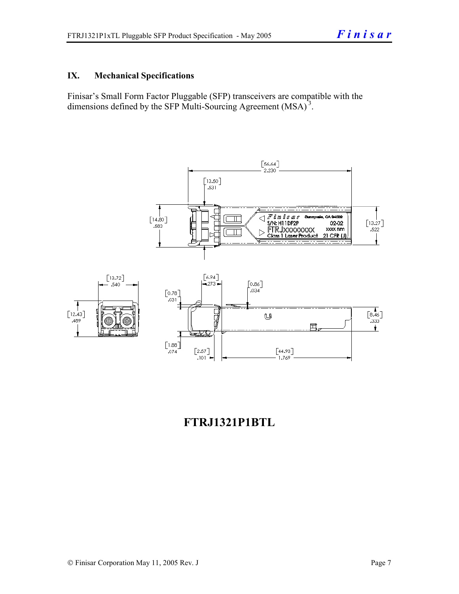#### **IX. Mechanical Specifications**

Finisar's Small Form Factor Pluggable (SFP) transceivers are compatible with the dimensions defined by the SFP Multi-Sourcing Agreement (MSA)<sup>3</sup>.



## **FTRJ1321P1BTL**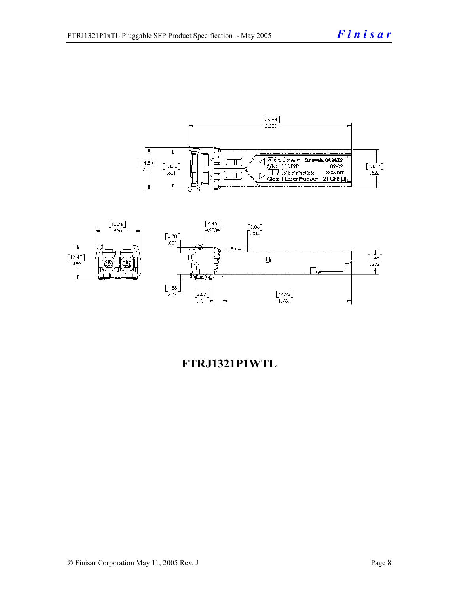



## **FTRJ1321P1WTL**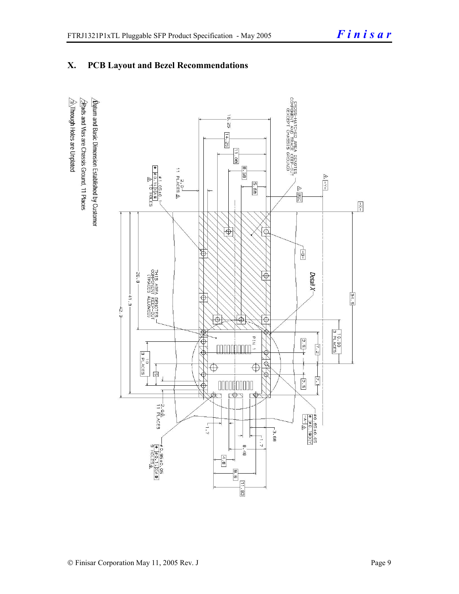#### **X. PCB Layout and Bezel Recommendations**

 $\hat{\triangle}$ Through Holes are Unplated  $\Delta$ atum and Basic Dimension Established by Customer  $\triangle$ Rads and Vias are Chassis Ground, 11 Places

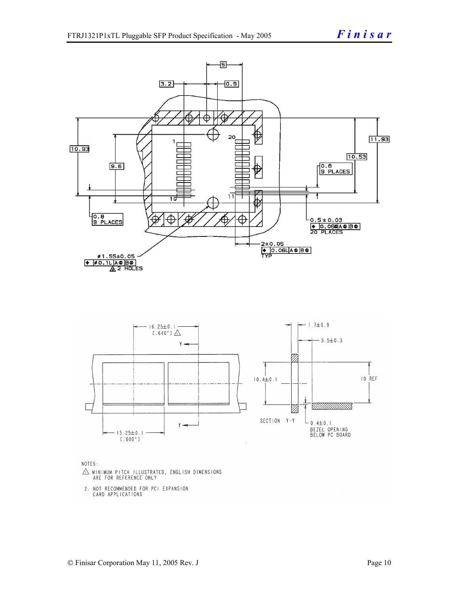

NOTES:

- $\triangle$  MINIMUM PITCH ILLUSTRATED, ENGLISH DIMENSIONS ARE FOR REFERENCE ONLY
- 2. NOT RECOMMENDED FOR PCI EXPANSION CARD APPLICATIONS